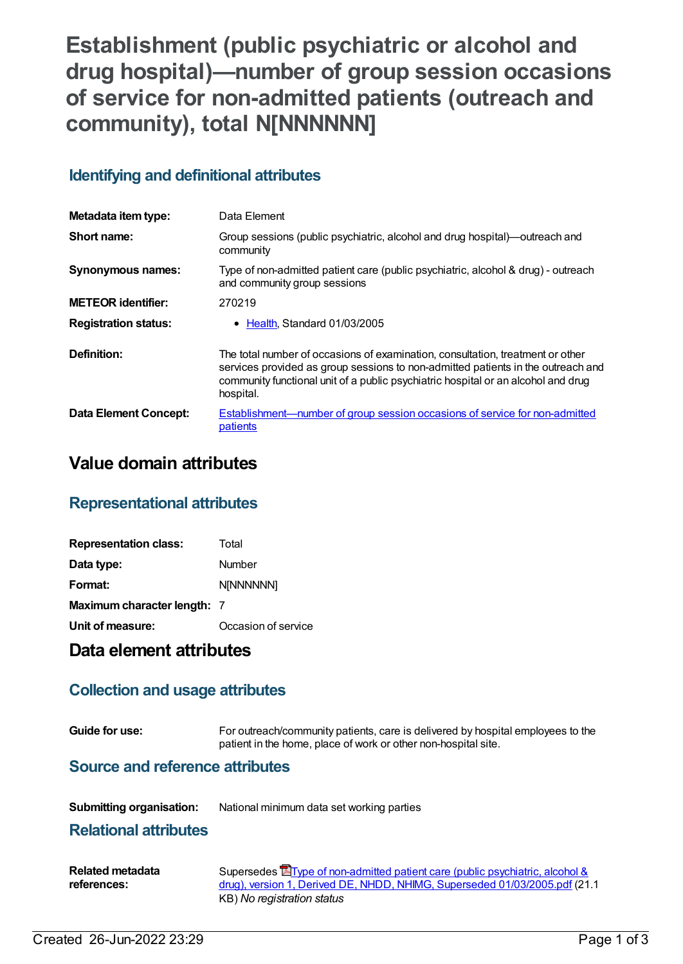# **Establishment (public psychiatric or alcohol and drug hospital)—number of group session occasions of service for non-admitted patients (outreach and community), total N[NNNNNN]**

# **Identifying and definitional attributes**

| Metadata item type:         | Data Element                                                                                                                                                                                                                                                         |
|-----------------------------|----------------------------------------------------------------------------------------------------------------------------------------------------------------------------------------------------------------------------------------------------------------------|
| Short name:                 | Group sessions (public psychiatric, alcohol and drug hospital)—outreach and<br>community                                                                                                                                                                             |
| <b>Synonymous names:</b>    | Type of non-admitted patient care (public psychiatric, alcohol & drug) - outreach<br>and community group sessions                                                                                                                                                    |
| <b>METEOR identifier:</b>   | 270219                                                                                                                                                                                                                                                               |
| <b>Registration status:</b> | • Health, Standard 01/03/2005                                                                                                                                                                                                                                        |
| Definition:                 | The total number of occasions of examination, consultation, treatment or other<br>services provided as group sessions to non-admitted patients in the outreach and<br>community functional unit of a public psychiatric hospital or an alcohol and drug<br>hospital. |
| Data Element Concept:       | <b>Establishment—number of group session occasions of service for non-admitted</b><br>patients                                                                                                                                                                       |

# **Value domain attributes**

## **Representational attributes**

| <b>Representation class:</b> | Total               |
|------------------------------|---------------------|
| Data type:                   | Number              |
| Format:                      | <b>N[NNNNNN]</b>    |
| Maximum character length: 7  |                     |
| Unit of measure:             | Occasion of service |

## **Data element attributes**

## **Collection and usage attributes**

**Guide for use:** For outreach/community patients, care is delivered by hospital employees to the patient in the home, place of work or other non-hospital site.

#### **Source and reference attributes**

**Submitting organisation:** National minimum data set working parties

#### **Relational attributes**

| Related metadata | Supersedes <b>E</b> Type of non-admitted patient care (public psychiatric, alcohol & |
|------------------|--------------------------------------------------------------------------------------|
| references:      | drug), version 1, Derived DE, NHDD, NHIMG, Superseded 01/03/2005.pdf (21.1)          |
|                  | KB) No registration status                                                           |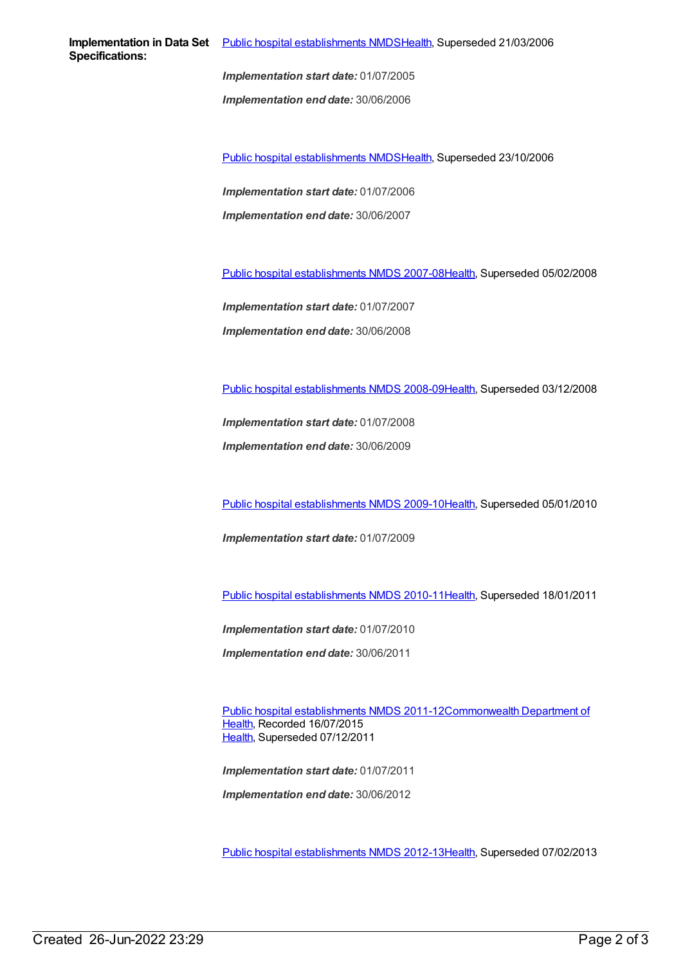*Implementation start date:* 01/07/2005

*Implementation end date:* 30/06/2006

Public hospital [establishments](https://meteor.aihw.gov.au/content/334285) NMDS[Health](https://meteor.aihw.gov.au/RegistrationAuthority/12), Superseded 23/10/2006

*Implementation start date:* 01/07/2006 *Implementation end date:* 30/06/2007

Public hospital [establishments](https://meteor.aihw.gov.au/content/345139) NMDS 2007-08[Health](https://meteor.aihw.gov.au/RegistrationAuthority/12), Superseded 05/02/2008

*Implementation start date:* 01/07/2007 *Implementation end date:* 30/06/2008

Public hospital [establishments](https://meteor.aihw.gov.au/content/362302) NMDS 2008-09[Health](https://meteor.aihw.gov.au/RegistrationAuthority/12), Superseded 03/12/2008

*Implementation start date:* 01/07/2008

*Implementation end date:* 30/06/2009

Public hospital [establishments](https://meteor.aihw.gov.au/content/374924) NMDS 2009-10[Health](https://meteor.aihw.gov.au/RegistrationAuthority/12), Superseded 05/01/2010

*Implementation start date:* 01/07/2009

Public hospital [establishments](https://meteor.aihw.gov.au/content/386794) NMDS 2010-11[Health](https://meteor.aihw.gov.au/RegistrationAuthority/12), Superseded 18/01/2011

*Implementation start date:* 01/07/2010

*Implementation end date:* 30/06/2011

Public hospital [establishments](https://meteor.aihw.gov.au/content/426900) NMDS [2011-12Commonwealth](https://meteor.aihw.gov.au/RegistrationAuthority/10) Department of Health, Recorded 16/07/2015 [Health](https://meteor.aihw.gov.au/RegistrationAuthority/12), Superseded 07/12/2011

*Implementation start date:* 01/07/2011 *Implementation end date:* 30/06/2012

Public hospital [establishments](https://meteor.aihw.gov.au/content/470656) NMDS 2012-13[Health](https://meteor.aihw.gov.au/RegistrationAuthority/12), Superseded 07/02/2013